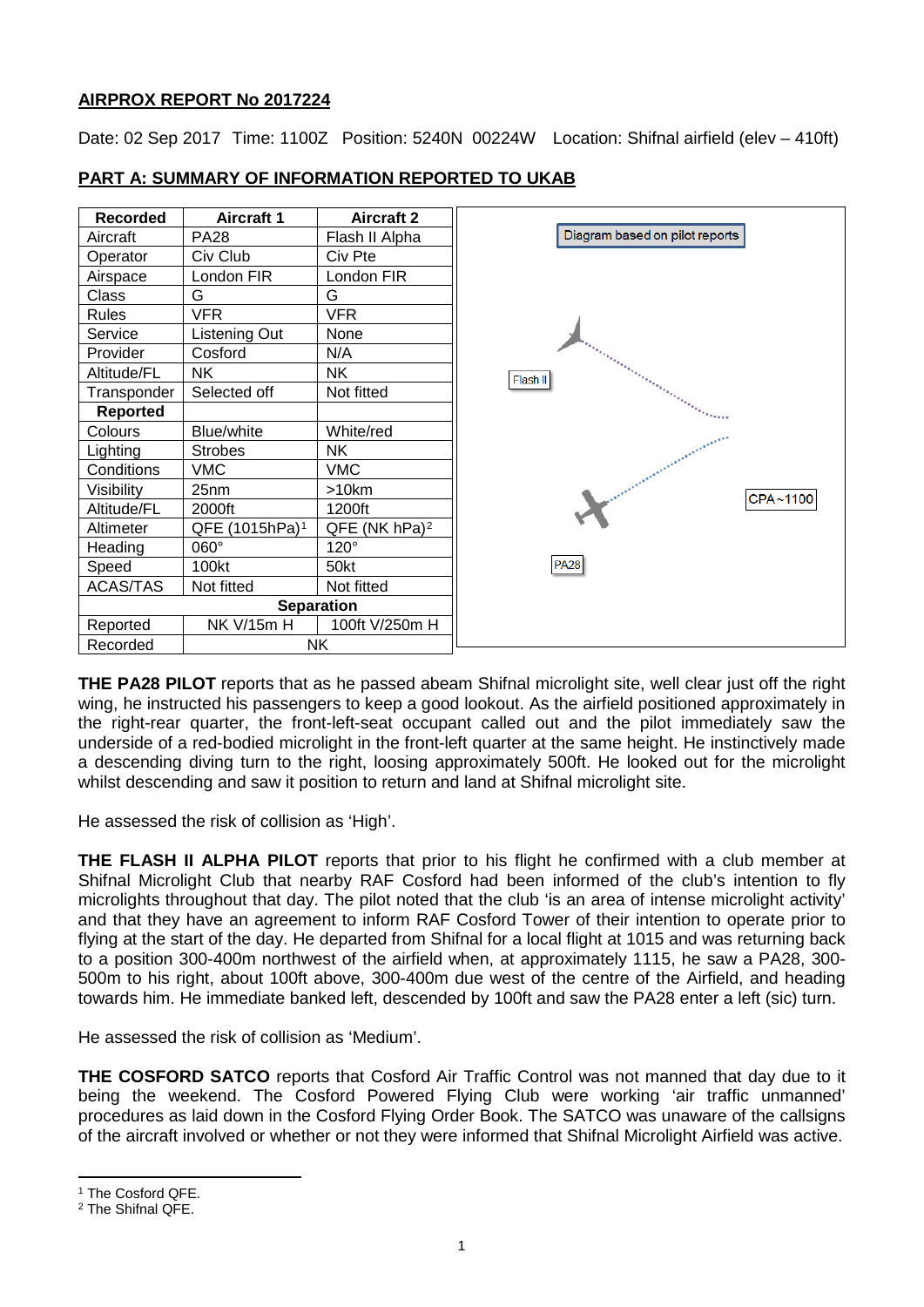## **AIRPROX REPORT No 2017224**

Date: 02 Sep 2017 Time: 1100Z Position: 5240N 00224W Location: Shifnal airfield (elev - 410ft)



# **PART A: SUMMARY OF INFORMATION REPORTED TO UKAB**

**THE PA28 PILOT** reports that as he passed abeam Shifnal microlight site, well clear just off the right wing, he instructed his passengers to keep a good lookout. As the airfield positioned approximately in the right-rear quarter, the front-left-seat occupant called out and the pilot immediately saw the underside of a red-bodied microlight in the front-left quarter at the same height. He instinctively made a descending diving turn to the right, loosing approximately 500ft. He looked out for the microlight whilst descending and saw it position to return and land at Shifnal microlight site.

He assessed the risk of collision as 'High'.

**THE FLASH II ALPHA PILOT** reports that prior to his flight he confirmed with a club member at Shifnal Microlight Club that nearby RAF Cosford had been informed of the club's intention to fly microlights throughout that day. The pilot noted that the club 'is an area of intense microlight activity' and that they have an agreement to inform RAF Cosford Tower of their intention to operate prior to flying at the start of the day. He departed from Shifnal for a local flight at 1015 and was returning back to a position 300-400m northwest of the airfield when, at approximately 1115, he saw a PA28, 300- 500m to his right, about 100ft above, 300-400m due west of the centre of the Airfield, and heading towards him. He immediate banked left, descended by 100ft and saw the PA28 enter a left (sic) turn.

He assessed the risk of collision as 'Medium'.

**THE COSFORD SATCO** reports that Cosford Air Traffic Control was not manned that day due to it being the weekend. The Cosford Powered Flying Club were working 'air traffic unmanned' procedures as laid down in the Cosford Flying Order Book. The SATCO was unaware of the callsigns of the aircraft involved or whether or not they were informed that Shifnal Microlight Airfield was active.

l

<span id="page-0-0"></span><sup>&</sup>lt;sup>1</sup> The Cosford QFE.

<span id="page-0-1"></span><sup>2</sup> The Shifnal QFE.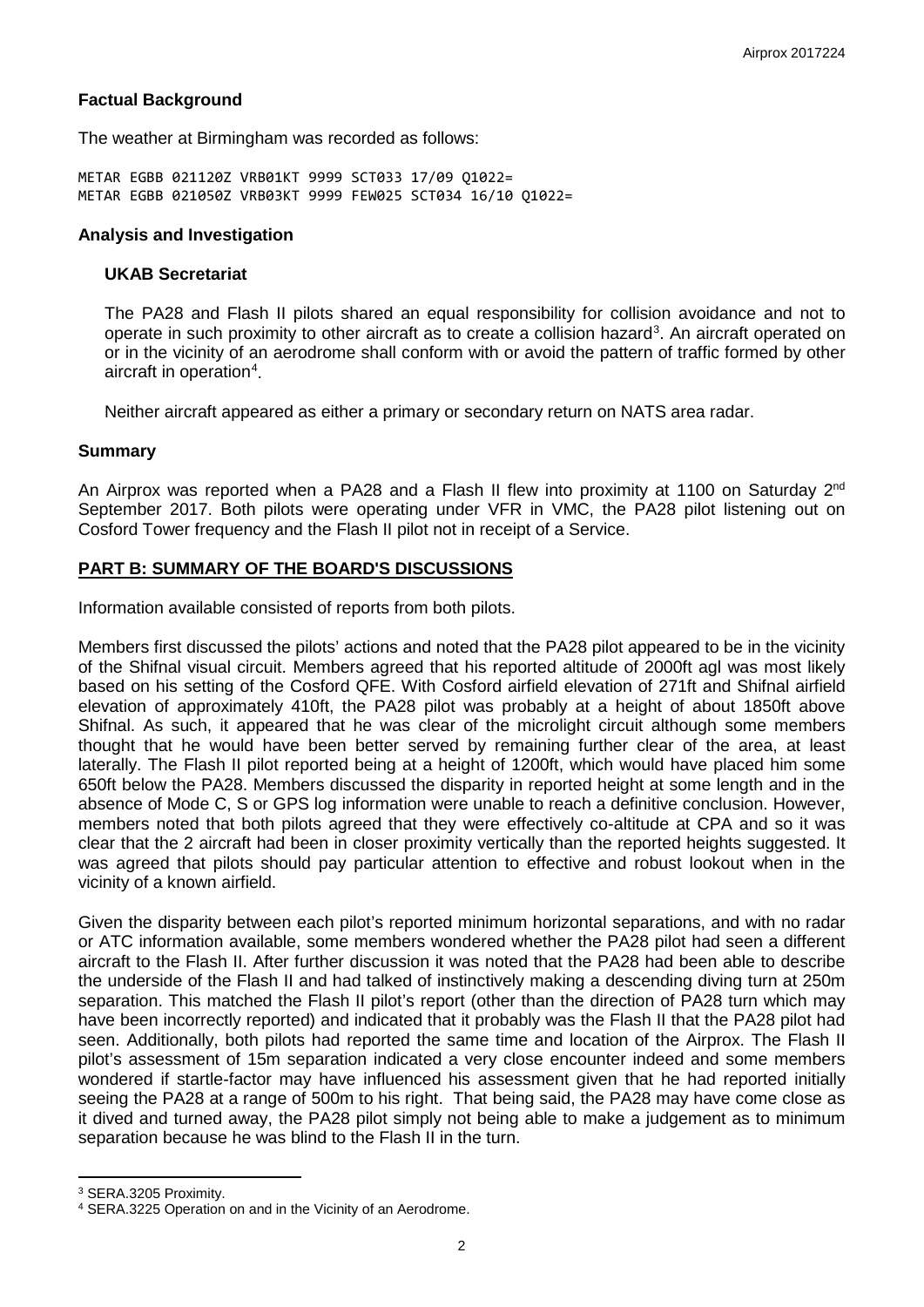### **Factual Background**

The weather at Birmingham was recorded as follows:

METAR EGBB 021120Z VRB01KT 9999 SCT033 17/09 Q1022= METAR EGBB 021050Z VRB03KT 9999 FEW025 SCT034 16/10 Q1022=

#### **Analysis and Investigation**

#### **UKAB Secretariat**

The PA28 and Flash II pilots shared an equal responsibility for collision avoidance and not to operate in such proximity to other aircraft as to create a collision hazard<sup>[3](#page-1-0)</sup>. An aircraft operated on or in the vicinity of an aerodrome shall conform with or avoid the pattern of traffic formed by other aircraft in operation<sup>[4](#page-1-1)</sup>.

Neither aircraft appeared as either a primary or secondary return on NATS area radar.

#### **Summary**

An Airprox was reported when a PA28 and a Flash II flew into proximity at 1100 on Saturday  $2^{nd}$ September 2017. Both pilots were operating under VFR in VMC, the PA28 pilot listening out on Cosford Tower frequency and the Flash II pilot not in receipt of a Service.

### **PART B: SUMMARY OF THE BOARD'S DISCUSSIONS**

Information available consisted of reports from both pilots.

Members first discussed the pilots' actions and noted that the PA28 pilot appeared to be in the vicinity of the Shifnal visual circuit. Members agreed that his reported altitude of 2000ft agl was most likely based on his setting of the Cosford QFE. With Cosford airfield elevation of 271ft and Shifnal airfield elevation of approximately 410ft, the PA28 pilot was probably at a height of about 1850ft above Shifnal. As such, it appeared that he was clear of the microlight circuit although some members thought that he would have been better served by remaining further clear of the area, at least laterally. The Flash II pilot reported being at a height of 1200ft, which would have placed him some 650ft below the PA28. Members discussed the disparity in reported height at some length and in the absence of Mode C, S or GPS log information were unable to reach a definitive conclusion. However, members noted that both pilots agreed that they were effectively co-altitude at CPA and so it was clear that the 2 aircraft had been in closer proximity vertically than the reported heights suggested. It was agreed that pilots should pay particular attention to effective and robust lookout when in the vicinity of a known airfield.

Given the disparity between each pilot's reported minimum horizontal separations, and with no radar or ATC information available, some members wondered whether the PA28 pilot had seen a different aircraft to the Flash II. After further discussion it was noted that the PA28 had been able to describe the underside of the Flash II and had talked of instinctively making a descending diving turn at 250m separation. This matched the Flash II pilot's report (other than the direction of PA28 turn which may have been incorrectly reported) and indicated that it probably was the Flash II that the PA28 pilot had seen. Additionally, both pilots had reported the same time and location of the Airprox. The Flash II pilot's assessment of 15m separation indicated a very close encounter indeed and some members wondered if startle-factor may have influenced his assessment given that he had reported initially seeing the PA28 at a range of 500m to his right. That being said, the PA28 may have come close as it dived and turned away, the PA28 pilot simply not being able to make a judgement as to minimum separation because he was blind to the Flash II in the turn.

l

<span id="page-1-0"></span><sup>3</sup> SERA.3205 Proximity.

<span id="page-1-1"></span><sup>4</sup> SERA.3225 Operation on and in the Vicinity of an Aerodrome.